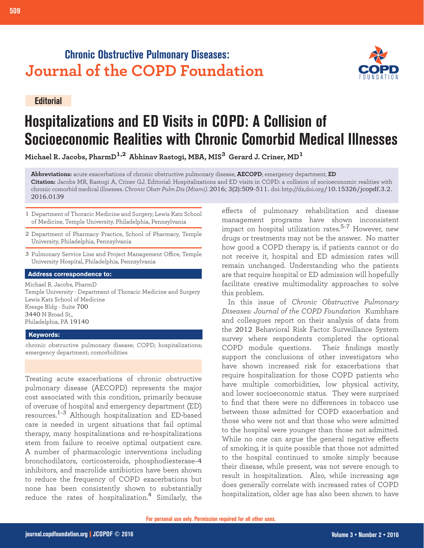## **Chronic Obstructive Pulmonary Diseases: Journal of the COPD Foundation**

**Editorial**



# **Hospitalizations and ED Visits in COPD: A Collision of Socioeconomic Realities with Chronic Comorbid Medical Illnesses**

**Michael R. Jacobs, PharmD1,2 Abhinav Rastogi, MBA, MIS3 Gerard J. Criner, MD<sup>1</sup>**

**Abbreviations:** acute exacerbations of chronic obstructive pulmonary disease, **AECOPD**; emergency department, **ED Citation:** Jacobs MR, Rastogi A, Criner GJ. Editorial: Hospitalizations and ED visits in COPD: a collision of socioeconomic realities with chronic comorbid medical illnesses. *Chronic Obstr Pulm Dis (Miami)*. 2016; 3(2):509-511. doi: http://dx,doi.org/10.15326/jcopdf.3.2. 2016.0139

- 1 Department of Thoracic Medicine and Surgery, Lewis Katz School of Medicine, Temple University, Philadelphia, Pennsylvania
- 2 Department of Pharmacy Practice, School of Pharmacy, Temple University, Philadelphia, Pennsylvania
- 3 Pulmonary Service Line and Project Management Office, Temple University Hospital, Philadelphia, Pennsylvania

#### **Address correspondence to:**

Michael R. Jacobs, PharmD Temple University - Department of Thoracic Medicine and Surgery Lewis Katz School of Medicine Kresge Bldg - Suite 700 3440 N Broad St., Philadelphia, PA 19140

#### **Keywords:**

chronic obstructive pulmonary disease; COPD; hospitalizations; emergency department; comorbidities

Treating acute exacerbations of chronic obstructive pulmonary disease (AECOPD) represents the major cost associated with this condition, primarily because of overuse of hospital and emergency department (ED) resources.1-3 Although hospitalization and ED-based care is needed in urgent situations that fail optimal therapy, many hospitalizations and re-hospitalizations stem from failure to receive optimal outpatient care. A number of pharmacologic interventions including bronchodilators, corticosteroids, phosphodiesterase-4 inhibitors, and macrolide antibiotics have been shown to reduce the frequency of COPD exacerbations but none has been consistently shown to substantially reduce the rates of hospitalization.<sup>4</sup> Similarly, the

effects of pulmonary rehabilitation and disease management programs have shown inconsistent impact on hospital utilization rates.<sup>5-7</sup> However, new drugs or treatments may not be the answer. No matter how good a COPD therapy is, if patients cannot or do not receive it, hospital and ED admission rates will remain unchanged. Understanding who the patients are that require hospital or ED admission will hopefully facilitate creative multimodality approaches to solve this problem.

In this issue of *Chronic Obstructive Pulmonary Diseases: Journal of the COPD Foundation* [Kumbhare](http://journal.copdfoundation.org/jcopdf/id/1103/Characteristics-of-COPD-Patients-Using-United-States-Emergency-Care-or-Hospitalization) [and colleagues](http://journal.copdfoundation.org/jcopdf/id/1103/Characteristics-of-COPD-Patients-Using-United-States-Emergency-Care-or-Hospitalization) report on their analysis of data from the 2012 Behavioral Risk Factor Surveillance System survey where respondents completed the optional COPD module questions. Their findings mostly support the conclusions of other investigators who have shown increased risk for exacerbations that require hospitalization for those COPD patients who have multiple comorbidities, low physical activity, and lower socioeconomic status. They were surprised to find that there were no differences in tobacco use between those admitted for COPD exacerbation and those who were not and that those who were admitted to the hospital were younger than those not admitted. While no one can argue the general negative effects of smoking, it is quite possible that those not admitted to the hospital continued to smoke simply because their disease, while present, was not severe enough to result in hospitalization. Also, while increasing age does generally correlate with increased rates of COPD hospitalization, older age has also been shown to have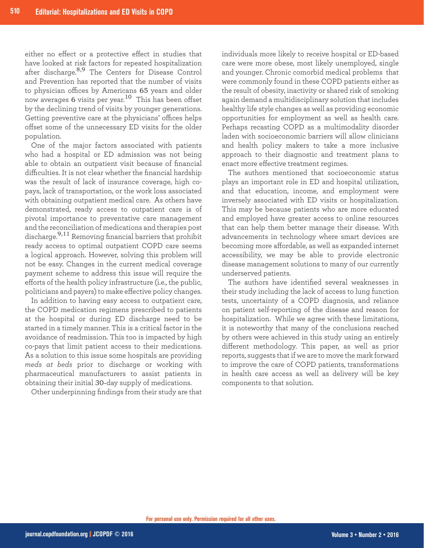either no effect or a protective effect in studies that have looked at risk factors for repeated hospitalization after discharge.<sup>8,9</sup> The Centers for Disease Control and Prevention has reported that the number of visits to physician offices by Americans 65 years and older now averages 6 visits per year.<sup>10</sup> This has been offset by the declining trend of visits by younger generations. Getting preventive care at the physicians' offices helps offset some of the unnecessary ED visits for the older population.

One of the major factors associated with patients who had a hospital or ED admission was not being able to obtain an outpatient visit because of financial difficulties. It is not clear whether the financial hardship was the result of lack of insurance coverage, high copays, lack of transportation, or the work loss associated with obtaining outpatient medical care. As others have demonstrated, ready access to outpatient care is of pivotal importance to preventative care management and the reconciliation of medications and therapies post discharge.9,11 Removing financial barriers that prohibit ready access to optimal outpatient COPD care seems a logical approach. However, solving this problem will not be easy. Changes in the current medical coverage payment scheme to address this issue will require the efforts of the health policy infrastructure (i.e., the public, politicians and payers) to make effective policy changes.

In addition to having easy access to outpatient care, the COPD medication regimens prescribed to patients at the hospital or during ED discharge need to be started in a timely manner. This is a critical factor in the avoidance of readmission. This too is impacted by high co-pays that limit patient access to their medications. As a solution to this issue some hospitals are providing *meds at beds* prior to discharge or working with pharmaceutical manufacturers to assist patients in obtaining their initial 30-day supply of medications.

Other underpinning findings from their study are that

individuals more likely to receive hospital or ED-based care were more obese, most likely unemployed, single and younger. Chronic comorbid medical problems that were commonly found in these COPD patients either as the result of obesity, inactivity or shared risk of smoking again demand a multidisciplinary solution that includes healthy life style changes as well as providing economic opportunities for employment as well as health care. Perhaps recasting COPD as a multimodality disorder laden with socioeconomic barriers will allow clinicians and health policy makers to take a more inclusive approach to their diagnostic and treatment plans to enact more effective treatment regimes.

The authors mentioned that socioeconomic status plays an important role in ED and hospital utilization, and that education, income, and employment were inversely associated with ED visits or hospitalization. This may be because patients who are more educated and employed have greater access to online resources that can help them better manage their disease. With advancements in technology where smart devices are becoming more affordable, as well as expanded internet accessibility, we may be able to provide electronic disease management solutions to many of our currently underserved patients.

The authors have identified several weaknesses in their study including the lack of access to lung function tests, uncertainty of a COPD diagnosis, and reliance on patient self-reporting of the disease and reason for hospitalization. While we agree with these limitations, it is noteworthy that many of the conclusions reached by others were achieved in this study using an entirely different methodology. This paper, as well as prior reports, suggests that if we are to move the mark forward to improve the care of COPD patients, transformations in health care access as well as delivery will be key components to that solution.